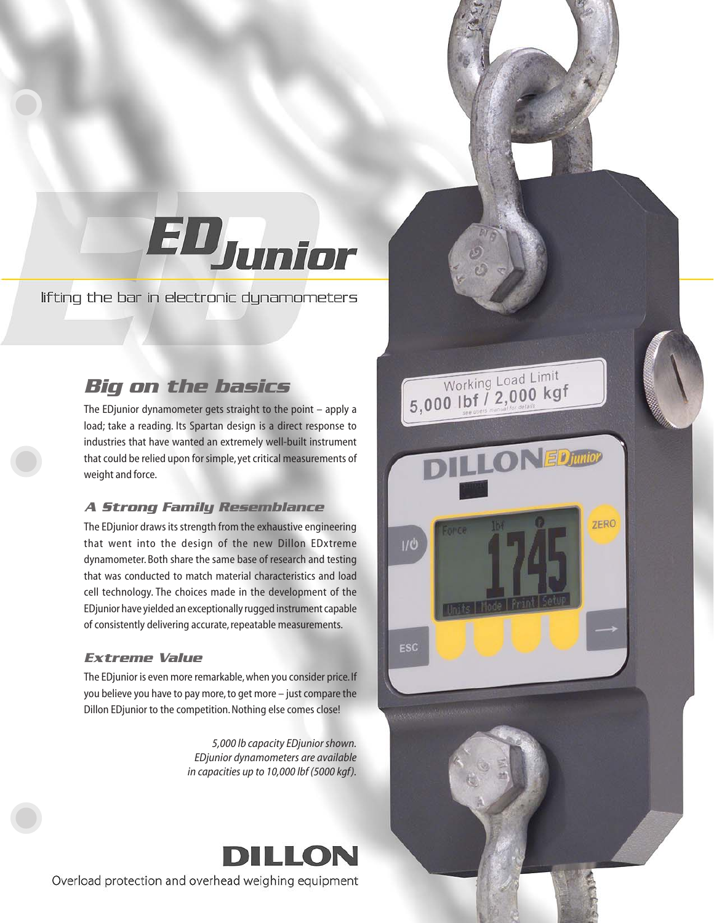# EDJunior

5,000 lbf / 2,000 kgf

 $1/0$ 

ESC

**LONED** junior

**ZERO** 

lifting the bar in electronic dynamometers

# *Big on the basics*

The EDjunior dynamometer gets straight to the point – apply a load; take a reading. Its Spartan design is a direct response to industries that have wanted an extremely well-built instrument that could be relied upon for simple, yet critical measurements of weight and force.

## *A Strong Family Resemblance*

The EDjunior draws its strength from the exhaustive engineering that went into the design of the new Dillon EDxtreme dynamometer. Both share the same base of research and testing that was conducted to match material characteristics and load cell technology. The choices made in the development of the EDjunior have yielded an exceptionally rugged instrument capable of consistently delivering accurate, repeatable measurements.

## *Extreme Value*

The EDjunior is even more remarkable, when you consider price. If you believe you have to pay more, to get more – just compare the Dillon EDjunior to the competition. Nothing else comes close!

> *5,000 lb capacity EDjunior shown. EDjunior dynamometers are available in capacities up to 10,000 lbf (5000 kgf).*



Overload protection and overhead weighing equipment